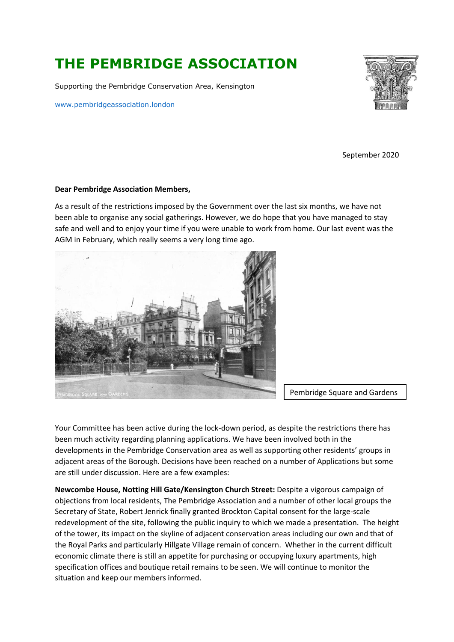# **THE PEMBRIDGE ASSOCIATION**

Supporting the Pembridge Conservation Area, Kensington

[www.pembridgeassociation.l](http://www.pembridgeassociation./)ondon



September 2020

### **Dear Pembridge Association Members,**

As a result of the restrictions imposed by the Government over the last six months, we have not been able to organise any social gatherings. However, we do hope that you have managed to stay safe and well and to enjoy your time if you were unable to work from home. Our last event was the AGM in February, which really seems a very long time ago.



Pembridge Square and Gardens

Your Committee has been active during the lock-down period, as despite the restrictions there has been much activity regarding planning applications. We have been involved both in the developments in the Pembridge Conservation area as well as supporting other residents' groups in adjacent areas of the Borough. Decisions have been reached on a number of Applications but some are still under discussion. Here are a few examples:

**Newcombe House, Notting Hill Gate/Kensington Church Street:** Despite a vigorous campaign of objections from local residents, The Pembridge Association and a number of other local groups the Secretary of State, Robert Jenrick finally granted Brockton Capital consent for the large-scale redevelopment of the site, following the public inquiry to which we made a presentation. The height of the tower, its impact on the skyline of adjacent conservation areas including our own and that of the Royal Parks and particularly Hillgate Village remain of concern. Whether in the current difficult economic climate there is still an appetite for purchasing or occupying luxury apartments, high specification offices and boutique retail remains to be seen. We will continue to monitor the situation and keep our members informed.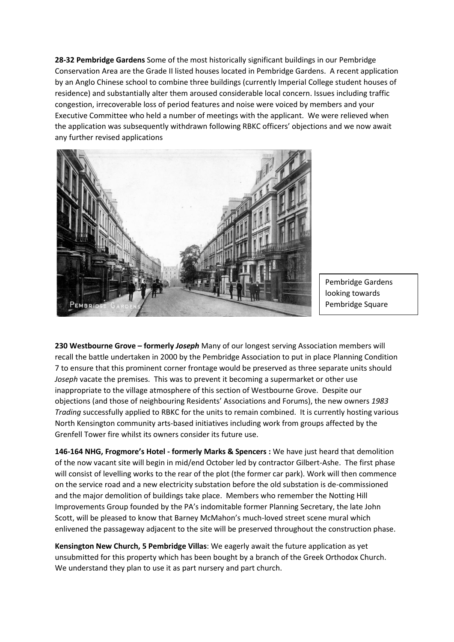**28-32 Pembridge Gardens** Some of the most historically significant buildings in our Pembridge Conservation Area are the Grade II listed houses located in Pembridge Gardens. A recent application by an Anglo Chinese school to combine three buildings (currently Imperial College student houses of residence) and substantially alter them aroused considerable local concern. Issues including traffic congestion, irrecoverable loss of period features and noise were voiced by members and your Executive Committee who held a number of meetings with the applicant. We were relieved when the application was subsequently withdrawn following RBKC officers' objections and we now await any further revised applications



Pembridge Gardens looking towards Pembridge Square

**230 Westbourne Grove – formerly** *Joseph* Many of our longest serving Association members will recall the battle undertaken in 2000 by the Pembridge Association to put in place Planning Condition 7 to ensure that this prominent corner frontage would be preserved as three separate units should *Joseph* vacate the premises. This was to prevent it becoming a supermarket or other use inappropriate to the village atmosphere of this section of Westbourne Grove. Despite our objections (and those of neighbouring Residents' Associations and Forums), the new owners *1983 Trading* successfully applied to RBKC for the units to remain combined. It is currently hosting various North Kensington community arts-based initiatives including work from groups affected by the Grenfell Tower fire whilst its owners consider its future use.

**146-164 NHG, Frogmore's Hotel - formerly Marks & Spencers :** We have just heard that demolition of the now vacant site will begin in mid/end October led by contractor Gilbert-Ashe. The first phase will consist of levelling works to the rear of the plot (the former car park). Work will then commence on the service road and a new electricity substation before the old substation is de-commissioned and the major demolition of buildings take place. Members who remember the Notting Hill Improvements Group founded by the PA's indomitable former Planning Secretary, the late John Scott, will be pleased to know that Barney McMahon's much-loved street scene mural which enlivened the passageway adjacent to the site will be preserved throughout the construction phase.

**Kensington New Church, 5 Pembridge Villas**: We eagerly await the future application as yet unsubmitted for this property which has been bought by a branch of the Greek Orthodox Church. We understand they plan to use it as part nursery and part church.